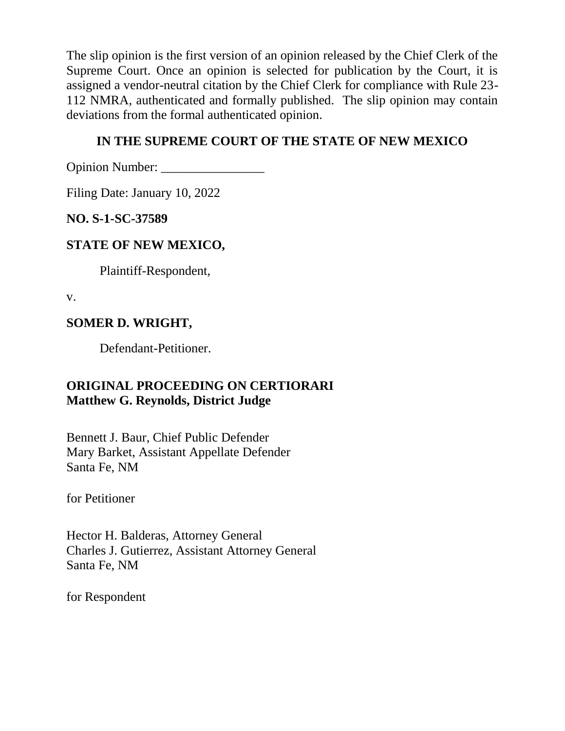The slip opinion is the first version of an opinion released by the Chief Clerk of the Supreme Court. Once an opinion is selected for publication by the Court, it is assigned a vendor-neutral citation by the Chief Clerk for compliance with Rule 23- 112 NMRA, authenticated and formally published. The slip opinion may contain deviations from the formal authenticated opinion.

# **IN THE SUPREME COURT OF THE STATE OF NEW MEXICO**

Opinion Number:

Filing Date: January 10, 2022

**NO. S-1-SC-37589**

# **STATE OF NEW MEXICO,**

Plaintiff-Respondent,

v.

# **SOMER D. WRIGHT,**

Defendant-Petitioner.

# **ORIGINAL PROCEEDING ON CERTIORARI Matthew G. Reynolds, District Judge**

Bennett J. Baur, Chief Public Defender Mary Barket, Assistant Appellate Defender Santa Fe, NM

for Petitioner

Hector H. Balderas, Attorney General Charles J. Gutierrez, Assistant Attorney General Santa Fe, NM

for Respondent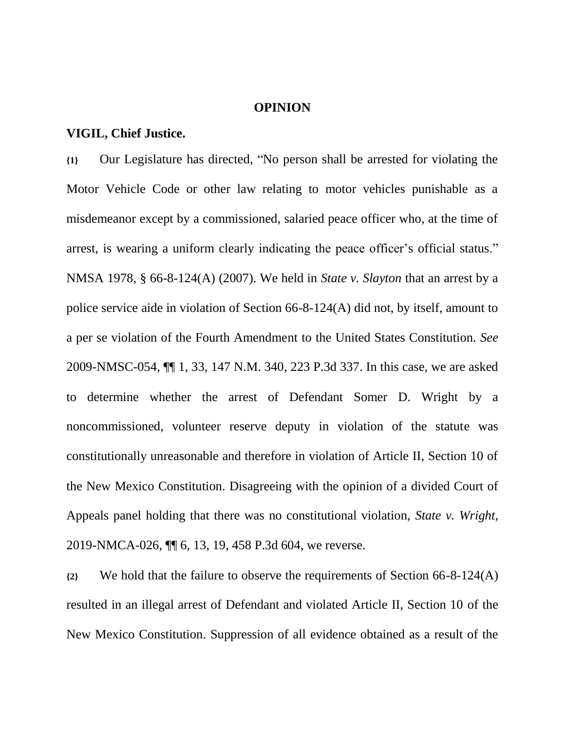#### **OPINION**

#### **VIGIL, Chief Justice.**

**{1}** Our Legislature has directed, "No person shall be arrested for violating the Motor Vehicle Code or other law relating to motor vehicles punishable as a misdemeanor except by a commissioned, salaried peace officer who, at the time of arrest, is wearing a uniform clearly indicating the peace officer's official status." NMSA 1978, § 66-8-124(A) (2007). We held in *State v. Slayton* that an arrest by a police service aide in violation of Section 66-8-124(A) did not, by itself, amount to a per se violation of the Fourth Amendment to the United States Constitution. *See* 2009-NMSC-054, ¶¶ 1, 33, 147 N.M. 340, 223 P.3d 337. In this case, we are asked to determine whether the arrest of Defendant Somer D. Wright by a noncommissioned, volunteer reserve deputy in violation of the statute was constitutionally unreasonable and therefore in violation of Article II, Section 10 of the New Mexico Constitution. Disagreeing with the opinion of a divided Court of Appeals panel holding that there was no constitutional violation, *State v. Wright*, 2019-NMCA-026, ¶¶ 6, 13, 19, 458 P.3d 604, we reverse.

**{2}** We hold that the failure to observe the requirements of Section 66-8-124(A) resulted in an illegal arrest of Defendant and violated Article II, Section 10 of the New Mexico Constitution. Suppression of all evidence obtained as a result of the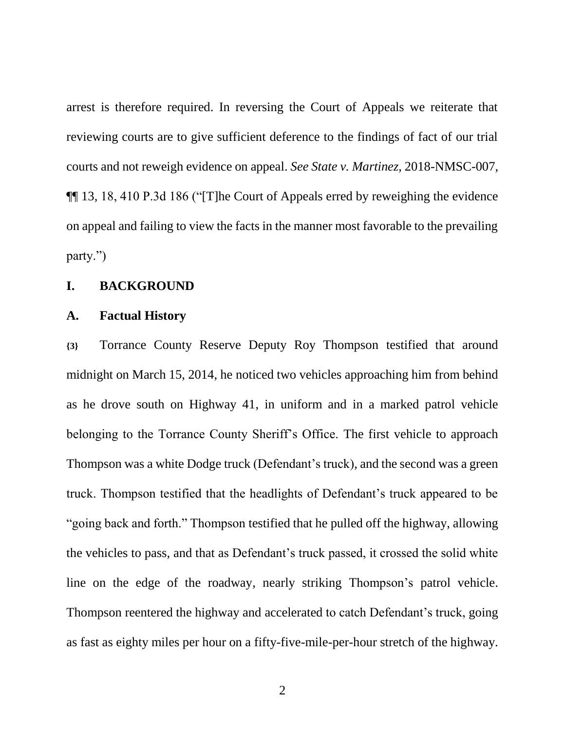arrest is therefore required. In reversing the Court of Appeals we reiterate that reviewing courts are to give sufficient deference to the findings of fact of our trial courts and not reweigh evidence on appeal. *See State v. Martinez*, 2018-NMSC-007, ¶¶ 13, 18, 410 P.3d 186 ("[T]he Court of Appeals erred by reweighing the evidence on appeal and failing to view the facts in the manner most favorable to the prevailing party.")

### **I. BACKGROUND**

#### **A. Factual History**

**{3}** Torrance County Reserve Deputy Roy Thompson testified that around midnight on March 15, 2014, he noticed two vehicles approaching him from behind as he drove south on Highway 41, in uniform and in a marked patrol vehicle belonging to the Torrance County Sheriff's Office. The first vehicle to approach Thompson was a white Dodge truck (Defendant's truck), and the second was a green truck. Thompson testified that the headlights of Defendant's truck appeared to be "going back and forth." Thompson testified that he pulled off the highway, allowing the vehicles to pass, and that as Defendant's truck passed, it crossed the solid white line on the edge of the roadway, nearly striking Thompson's patrol vehicle. Thompson reentered the highway and accelerated to catch Defendant's truck, going as fast as eighty miles per hour on a fifty-five-mile-per-hour stretch of the highway.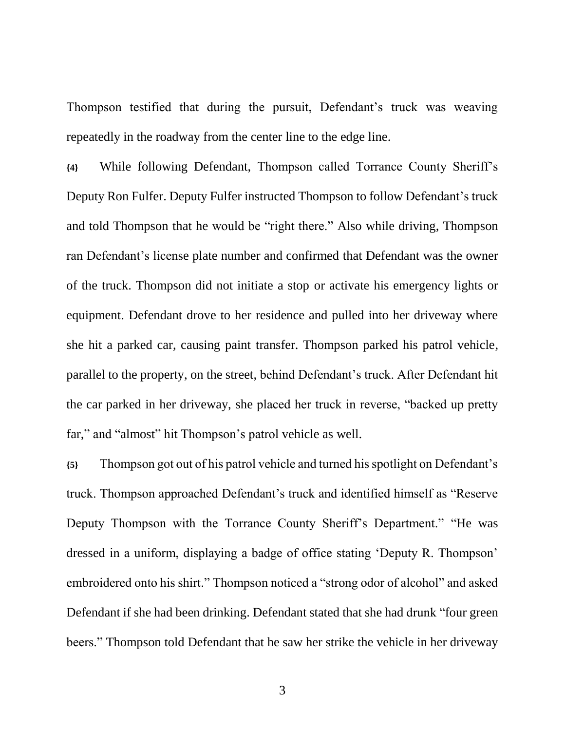Thompson testified that during the pursuit, Defendant's truck was weaving repeatedly in the roadway from the center line to the edge line.

**{4}** While following Defendant, Thompson called Torrance County Sheriff's Deputy Ron Fulfer. Deputy Fulfer instructed Thompson to follow Defendant's truck and told Thompson that he would be "right there." Also while driving, Thompson ran Defendant's license plate number and confirmed that Defendant was the owner of the truck. Thompson did not initiate a stop or activate his emergency lights or equipment. Defendant drove to her residence and pulled into her driveway where she hit a parked car, causing paint transfer. Thompson parked his patrol vehicle, parallel to the property, on the street, behind Defendant's truck. After Defendant hit the car parked in her driveway, she placed her truck in reverse, "backed up pretty far," and "almost" hit Thompson's patrol vehicle as well.

**{5}** Thompson got out of his patrol vehicle and turned his spotlight on Defendant's truck. Thompson approached Defendant's truck and identified himself as "Reserve Deputy Thompson with the Torrance County Sheriff's Department." "He was dressed in a uniform, displaying a badge of office stating 'Deputy R. Thompson' embroidered onto his shirt." Thompson noticed a "strong odor of alcohol" and asked Defendant if she had been drinking. Defendant stated that she had drunk "four green beers." Thompson told Defendant that he saw her strike the vehicle in her driveway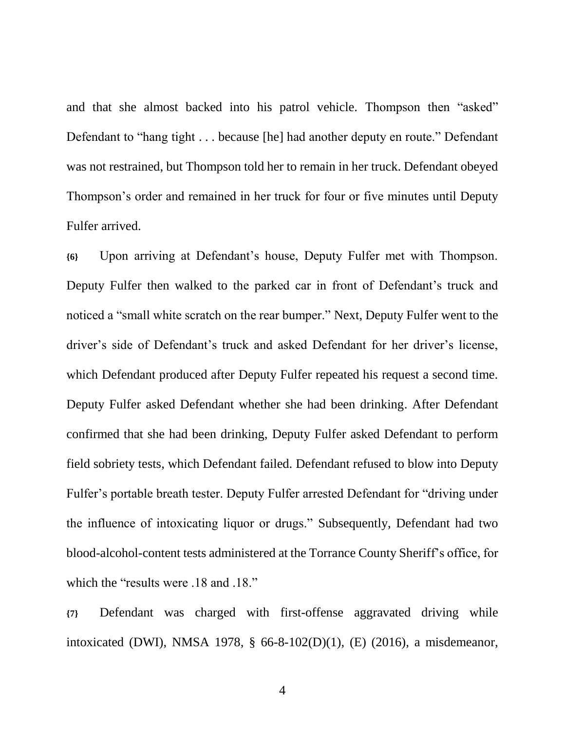and that she almost backed into his patrol vehicle. Thompson then "asked" Defendant to "hang tight . . . because [he] had another deputy en route." Defendant was not restrained, but Thompson told her to remain in her truck. Defendant obeyed Thompson's order and remained in her truck for four or five minutes until Deputy Fulfer arrived.

**{6}** Upon arriving at Defendant's house, Deputy Fulfer met with Thompson. Deputy Fulfer then walked to the parked car in front of Defendant's truck and noticed a "small white scratch on the rear bumper." Next, Deputy Fulfer went to the driver's side of Defendant's truck and asked Defendant for her driver's license, which Defendant produced after Deputy Fulfer repeated his request a second time. Deputy Fulfer asked Defendant whether she had been drinking. After Defendant confirmed that she had been drinking, Deputy Fulfer asked Defendant to perform field sobriety tests, which Defendant failed. Defendant refused to blow into Deputy Fulfer's portable breath tester. Deputy Fulfer arrested Defendant for "driving under the influence of intoxicating liquor or drugs." Subsequently, Defendant had two blood-alcohol-content tests administered at the Torrance County Sheriff's office, for which the "results were .18 and .18."

**{7}** Defendant was charged with first-offense aggravated driving while intoxicated (DWI), NMSA 1978, § 66-8-102(D)(1), (E) (2016), a misdemeanor,

4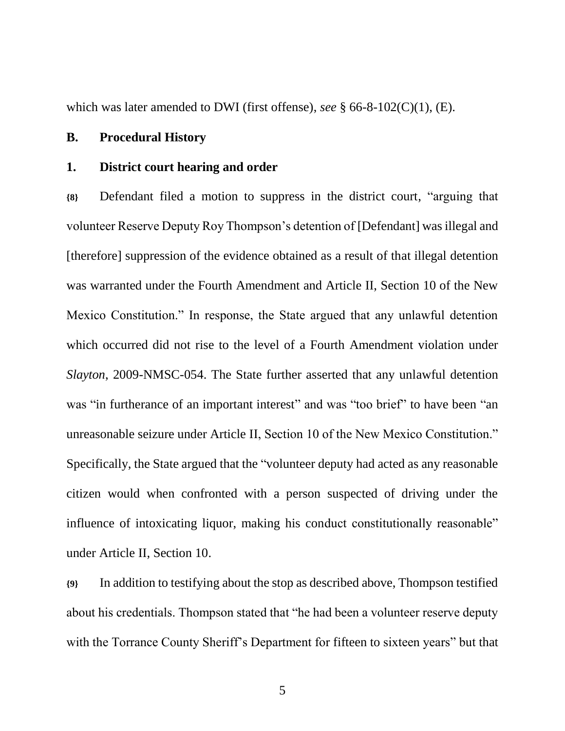which was later amended to DWI (first offense), *see* § 66-8-102(C)(1), (E).

### **B. Procedural History**

#### **1. District court hearing and order**

**{8}** Defendant filed a motion to suppress in the district court, "arguing that volunteer Reserve Deputy Roy Thompson's detention of [Defendant] was illegal and [therefore] suppression of the evidence obtained as a result of that illegal detention was warranted under the Fourth Amendment and Article II, Section 10 of the New Mexico Constitution." In response, the State argued that any unlawful detention which occurred did not rise to the level of a Fourth Amendment violation under *Slayton*, 2009-NMSC-054. The State further asserted that any unlawful detention was "in furtherance of an important interest" and was "too brief" to have been "an unreasonable seizure under Article II, Section 10 of the New Mexico Constitution." Specifically, the State argued that the "volunteer deputy had acted as any reasonable citizen would when confronted with a person suspected of driving under the influence of intoxicating liquor, making his conduct constitutionally reasonable" under Article II, Section 10.

**{9}** In addition to testifying about the stop as described above, Thompson testified about his credentials. Thompson stated that "he had been a volunteer reserve deputy with the Torrance County Sheriff's Department for fifteen to sixteen years" but that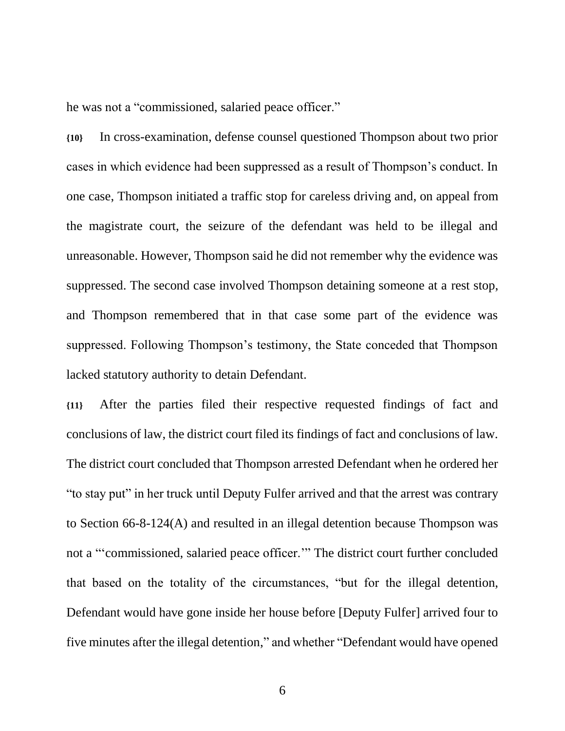he was not a "commissioned, salaried peace officer."

**{10}** In cross-examination, defense counsel questioned Thompson about two prior cases in which evidence had been suppressed as a result of Thompson's conduct. In one case, Thompson initiated a traffic stop for careless driving and, on appeal from the magistrate court, the seizure of the defendant was held to be illegal and unreasonable. However, Thompson said he did not remember why the evidence was suppressed. The second case involved Thompson detaining someone at a rest stop, and Thompson remembered that in that case some part of the evidence was suppressed. Following Thompson's testimony, the State conceded that Thompson lacked statutory authority to detain Defendant.

**{11}** After the parties filed their respective requested findings of fact and conclusions of law, the district court filed its findings of fact and conclusions of law. The district court concluded that Thompson arrested Defendant when he ordered her "to stay put" in her truck until Deputy Fulfer arrived and that the arrest was contrary to Section 66-8-124(A) and resulted in an illegal detention because Thompson was not a "'commissioned, salaried peace officer.'" The district court further concluded that based on the totality of the circumstances, "but for the illegal detention, Defendant would have gone inside her house before [Deputy Fulfer] arrived four to five minutes after the illegal detention," and whether "Defendant would have opened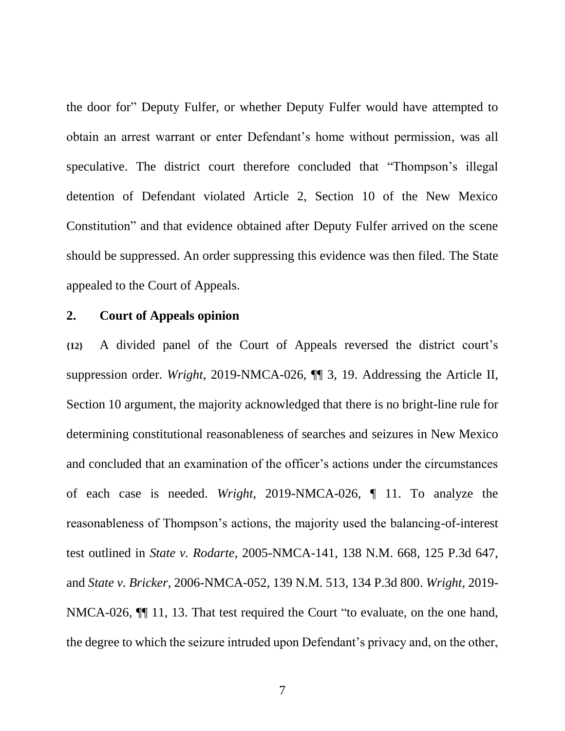the door for" Deputy Fulfer, or whether Deputy Fulfer would have attempted to obtain an arrest warrant or enter Defendant's home without permission, was all speculative. The district court therefore concluded that "Thompson's illegal detention of Defendant violated Article 2, Section 10 of the New Mexico Constitution" and that evidence obtained after Deputy Fulfer arrived on the scene should be suppressed. An order suppressing this evidence was then filed. The State appealed to the Court of Appeals.

### **2. Court of Appeals opinion**

**{12}** A divided panel of the Court of Appeals reversed the district court's suppression order. *Wright*, 2019-NMCA-026, ¶¶ 3, 19. Addressing the Article II, Section 10 argument, the majority acknowledged that there is no bright-line rule for determining constitutional reasonableness of searches and seizures in New Mexico and concluded that an examination of the officer's actions under the circumstances of each case is needed. *Wright*, 2019-NMCA-026, ¶ 11. To analyze the reasonableness of Thompson's actions, the majority used the balancing-of-interest test outlined in *State v. Rodarte*, 2005-NMCA-141, 138 N.M. 668, 125 P.3d 647, and *State v. Bricker*, 2006-NMCA-052, 139 N.M. 513, 134 P.3d 800. *Wright*, 2019- NMCA-026, ¶¶ 11, 13. That test required the Court "to evaluate, on the one hand, the degree to which the seizure intruded upon Defendant's privacy and, on the other,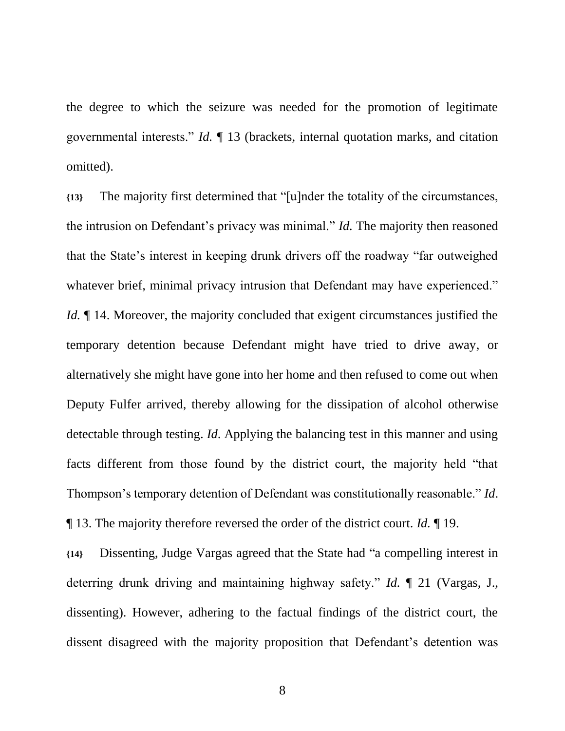the degree to which the seizure was needed for the promotion of legitimate governmental interests." *Id.* ¶ 13 (brackets, internal quotation marks, and citation omitted).

**{13}** The majority first determined that "[u]nder the totality of the circumstances, the intrusion on Defendant's privacy was minimal." *Id.* The majority then reasoned that the State's interest in keeping drunk drivers off the roadway "far outweighed whatever brief, minimal privacy intrusion that Defendant may have experienced." *Id.*  $\parallel$  14. Moreover, the majority concluded that exigent circumstances justified the temporary detention because Defendant might have tried to drive away, or alternatively she might have gone into her home and then refused to come out when Deputy Fulfer arrived, thereby allowing for the dissipation of alcohol otherwise detectable through testing. *Id*. Applying the balancing test in this manner and using facts different from those found by the district court, the majority held "that Thompson's temporary detention of Defendant was constitutionally reasonable." *Id*. ¶ 13. The majority therefore reversed the order of the district court. *Id.* ¶ 19.

**{14}** Dissenting, Judge Vargas agreed that the State had "a compelling interest in deterring drunk driving and maintaining highway safety." *Id.* ¶ 21 (Vargas, J., dissenting). However, adhering to the factual findings of the district court, the dissent disagreed with the majority proposition that Defendant's detention was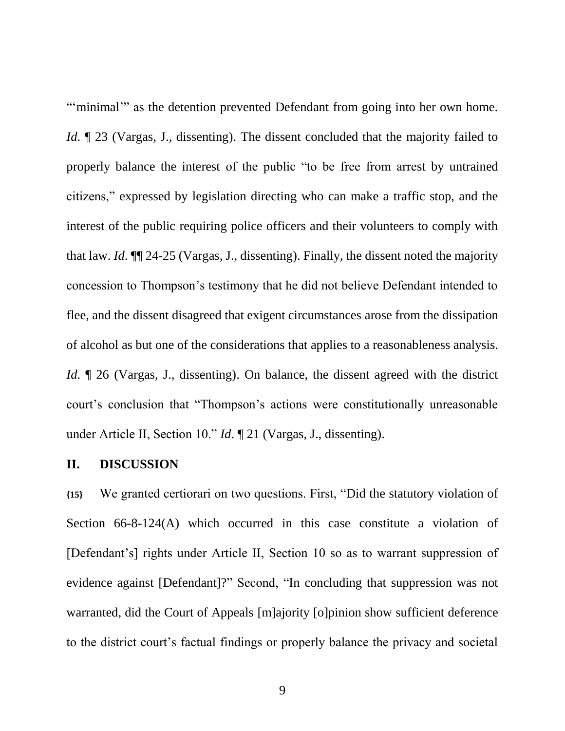"'minimal'" as the detention prevented Defendant from going into her own home. *Id*. **[23** (Vargas, J., dissenting). The dissent concluded that the majority failed to properly balance the interest of the public "to be free from arrest by untrained citizens," expressed by legislation directing who can make a traffic stop, and the interest of the public requiring police officers and their volunteers to comply with that law. *Id*. ¶¶ 24-25 (Vargas, J., dissenting). Finally, the dissent noted the majority concession to Thompson's testimony that he did not believe Defendant intended to flee, and the dissent disagreed that exigent circumstances arose from the dissipation of alcohol as but one of the considerations that applies to a reasonableness analysis. *Id.*  $\llbracket$  26 (Vargas, J., dissenting). On balance, the dissent agreed with the district court's conclusion that "Thompson's actions were constitutionally unreasonable under Article II, Section 10." *Id*. ¶ 21 (Vargas, J., dissenting).

# **II. DISCUSSION**

**{15}** We granted certiorari on two questions. First, "Did the statutory violation of Section 66-8-124(A) which occurred in this case constitute a violation of [Defendant's] rights under Article II, Section 10 so as to warrant suppression of evidence against [Defendant]?" Second, "In concluding that suppression was not warranted, did the Court of Appeals [m]ajority [o]pinion show sufficient deference to the district court's factual findings or properly balance the privacy and societal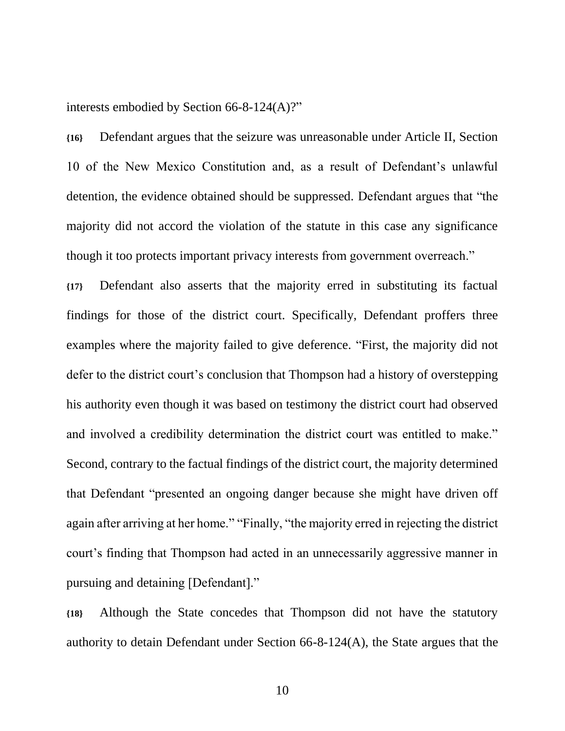interests embodied by Section 66-8-124(A)?"

**{16}** Defendant argues that the seizure was unreasonable under Article II, Section 10 of the New Mexico Constitution and, as a result of Defendant's unlawful detention, the evidence obtained should be suppressed. Defendant argues that "the majority did not accord the violation of the statute in this case any significance though it too protects important privacy interests from government overreach."

**{17}** Defendant also asserts that the majority erred in substituting its factual findings for those of the district court. Specifically, Defendant proffers three examples where the majority failed to give deference. "First, the majority did not defer to the district court's conclusion that Thompson had a history of overstepping his authority even though it was based on testimony the district court had observed and involved a credibility determination the district court was entitled to make." Second, contrary to the factual findings of the district court, the majority determined that Defendant "presented an ongoing danger because she might have driven off again after arriving at her home." "Finally, "the majority erred in rejecting the district court's finding that Thompson had acted in an unnecessarily aggressive manner in pursuing and detaining [Defendant]."

**{18}** Although the State concedes that Thompson did not have the statutory authority to detain Defendant under Section 66-8-124(A), the State argues that the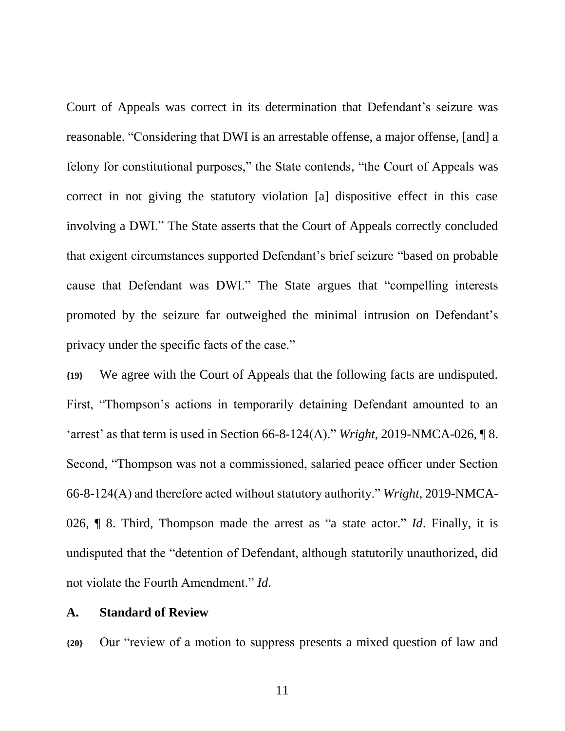Court of Appeals was correct in its determination that Defendant's seizure was reasonable. "Considering that DWI is an arrestable offense, a major offense, [and] a felony for constitutional purposes," the State contends, "the Court of Appeals was correct in not giving the statutory violation [a] dispositive effect in this case involving a DWI." The State asserts that the Court of Appeals correctly concluded that exigent circumstances supported Defendant's brief seizure "based on probable cause that Defendant was DWI." The State argues that "compelling interests promoted by the seizure far outweighed the minimal intrusion on Defendant's privacy under the specific facts of the case."

**{19}** We agree with the Court of Appeals that the following facts are undisputed. First, "Thompson's actions in temporarily detaining Defendant amounted to an 'arrest' as that term is used in Section 66-8-124(A)." *Wright*, 2019-NMCA-026, ¶ 8. Second, "Thompson was not a commissioned, salaried peace officer under Section 66-8-124(A) and therefore acted without statutory authority." *Wright*, 2019-NMCA-026, ¶ 8. Third, Thompson made the arrest as "a state actor." *Id*. Finally, it is undisputed that the "detention of Defendant, although statutorily unauthorized, did not violate the Fourth Amendment." *Id.*

#### **A. Standard of Review**

**{20}** Our "review of a motion to suppress presents a mixed question of law and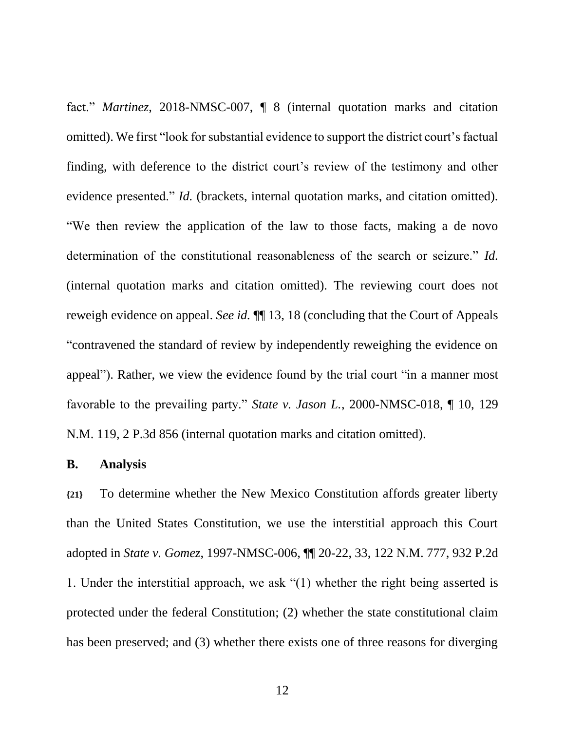fact." *Martinez*, 2018-NMSC-007, ¶ 8 (internal quotation marks and citation omitted). We first "look for substantial evidence to support the district court's factual finding, with deference to the district court's review of the testimony and other evidence presented." *Id.* (brackets, internal quotation marks, and citation omitted). "We then review the application of the law to those facts, making a de novo determination of the constitutional reasonableness of the search or seizure." *Id.* (internal quotation marks and citation omitted). The reviewing court does not reweigh evidence on appeal. *See id.* ¶¶ 13, 18 (concluding that the Court of Appeals "contravened the standard of review by independently reweighing the evidence on appeal"). Rather, we view the evidence found by the trial court "in a manner most favorable to the prevailing party." *State v. Jason L.*, 2000-NMSC-018, ¶ 10, 129 N.M. 119, 2 P.3d 856 (internal quotation marks and citation omitted).

# **B. Analysis**

**{21}** To determine whether the New Mexico Constitution affords greater liberty than the United States Constitution, we use the interstitial approach this Court adopted in *State v. Gomez*, 1997-NMSC-006, ¶¶ 20-22, 33, 122 N.M. 777, 932 P.2d 1. Under the interstitial approach, we ask "(1) whether the right being asserted is protected under the federal Constitution; (2) whether the state constitutional claim has been preserved; and (3) whether there exists one of three reasons for diverging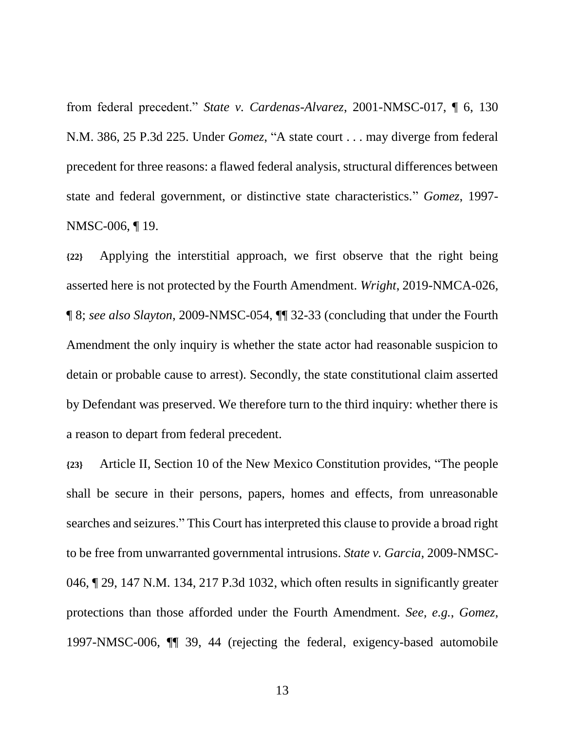from federal precedent." *State v. Cardenas-Alvarez*, 2001-NMSC-017, ¶ 6, 130 N.M. 386, 25 P.3d 225. Under *Gomez*, "A state court . . . may diverge from federal precedent for three reasons: a flawed federal analysis, structural differences between state and federal government, or distinctive state characteristics." *Gomez*, 1997- NMSC-006, ¶ 19.

**{22}** Applying the interstitial approach, we first observe that the right being asserted here is not protected by the Fourth Amendment. *Wright*, 2019-NMCA-026, ¶ 8; *see also Slayton*, 2009-NMSC-054, ¶¶ 32-33 (concluding that under the Fourth Amendment the only inquiry is whether the state actor had reasonable suspicion to detain or probable cause to arrest). Secondly, the state constitutional claim asserted by Defendant was preserved. We therefore turn to the third inquiry: whether there is a reason to depart from federal precedent.

**{23}** Article II, Section 10 of the New Mexico Constitution provides, "The people shall be secure in their persons, papers, homes and effects, from unreasonable searches and seizures." This Court has interpreted this clause to provide a broad right to be free from unwarranted governmental intrusions. *State v. Garcia*, 2009-NMSC-046, ¶ 29, 147 N.M. 134, 217 P.3d 1032, which often results in significantly greater protections than those afforded under the Fourth Amendment. *See, e.g.*, *Gomez*, 1997-NMSC-006, ¶¶ 39, 44 (rejecting the federal, exigency-based automobile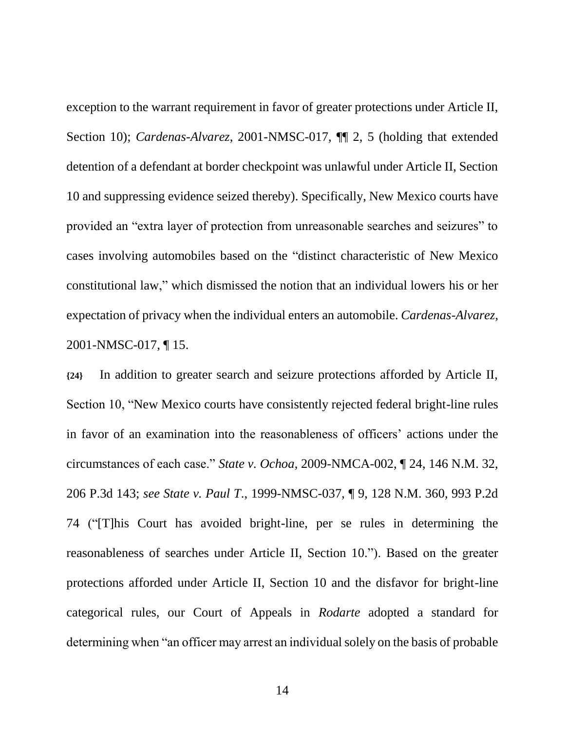exception to the warrant requirement in favor of greater protections under Article II, Section 10); *Cardenas-Alvarez*, 2001-NMSC-017, ¶¶ 2, 5 (holding that extended detention of a defendant at border checkpoint was unlawful under Article II, Section 10 and suppressing evidence seized thereby). Specifically, New Mexico courts have provided an "extra layer of protection from unreasonable searches and seizures" to cases involving automobiles based on the "distinct characteristic of New Mexico constitutional law," which dismissed the notion that an individual lowers his or her expectation of privacy when the individual enters an automobile. *Cardenas-Alvarez*, 2001-NMSC-017, ¶ 15.

**{24}** In addition to greater search and seizure protections afforded by Article II, Section 10, "New Mexico courts have consistently rejected federal bright-line rules in favor of an examination into the reasonableness of officers' actions under the circumstances of each case." *State v. Ochoa*, 2009-NMCA-002, ¶ 24, 146 N.M. 32, 206 P.3d 143; *see State v. Paul T*., 1999-NMSC-037, ¶ 9, 128 N.M. 360, 993 P.2d 74 ("[T]his Court has avoided bright-line, per se rules in determining the reasonableness of searches under Article II, Section 10."). Based on the greater protections afforded under Article II, Section 10 and the disfavor for bright-line categorical rules, our Court of Appeals in *Rodarte* adopted a standard for determining when "an officer may arrest an individual solely on the basis of probable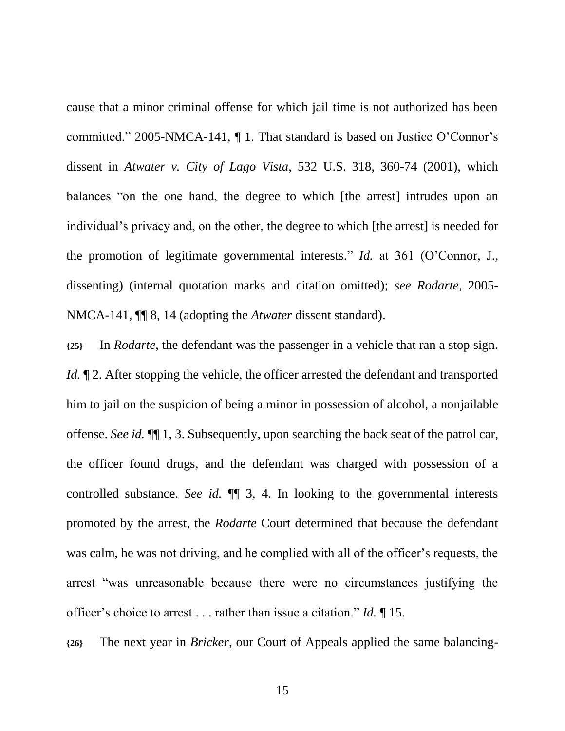cause that a minor criminal offense for which jail time is not authorized has been committed." 2005-NMCA-141, ¶ 1. That standard is based on Justice O'Connor's dissent in *Atwater v. City of Lago Vista*, 532 U.S. 318, 360-74 (2001), which balances "on the one hand, the degree to which [the arrest] intrudes upon an individual's privacy and, on the other, the degree to which [the arrest] is needed for the promotion of legitimate governmental interests." *Id.* at 361 (O'Connor, J., dissenting) (internal quotation marks and citation omitted); *see Rodarte*, 2005- NMCA-141, ¶¶ 8, 14 (adopting the *Atwater* dissent standard).

**{25}** In *Rodarte*, the defendant was the passenger in a vehicle that ran a stop sign. *Id.*  $\mathbb{I}$  2. After stopping the vehicle, the officer arrested the defendant and transported him to jail on the suspicion of being a minor in possession of alcohol, a nonjailable offense. *See id.* ¶¶ 1, 3. Subsequently, upon searching the back seat of the patrol car, the officer found drugs, and the defendant was charged with possession of a controlled substance. *See id.* ¶¶ 3, 4. In looking to the governmental interests promoted by the arrest, the *Rodarte* Court determined that because the defendant was calm, he was not driving, and he complied with all of the officer's requests, the arrest "was unreasonable because there were no circumstances justifying the officer's choice to arrest . . . rather than issue a citation." *Id.* ¶ 15.

**{26}** The next year in *Bricker*, our Court of Appeals applied the same balancing-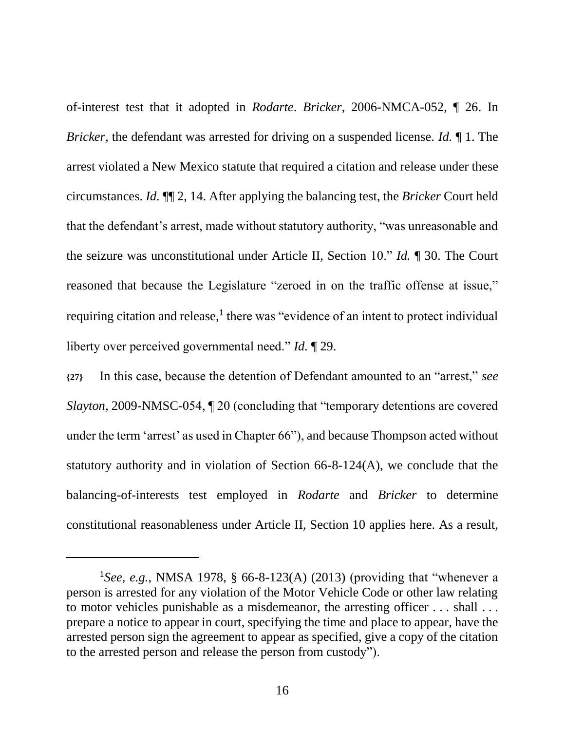of-interest test that it adopted in *Rodarte*. *Bricker*, 2006-NMCA-052, ¶ 26. In *Bricker*, the defendant was arrested for driving on a suspended license. *Id.* ¶ 1. The arrest violated a New Mexico statute that required a citation and release under these circumstances. *Id.* ¶¶ 2, 14. After applying the balancing test, the *Bricker* Court held that the defendant's arrest, made without statutory authority, "was unreasonable and the seizure was unconstitutional under Article II, Section 10." *Id.* ¶ 30. The Court reasoned that because the Legislature "zeroed in on the traffic offense at issue," requiring citation and release, $<sup>1</sup>$  there was "evidence of an intent to protect individual</sup> liberty over perceived governmental need." *Id.* ¶ 29.

**{27}** In this case, because the detention of Defendant amounted to an "arrest," *see Slayton*, 2009-NMSC-054,  $\P$  20 (concluding that "temporary detentions are covered under the term 'arrest' as used in Chapter 66"), and because Thompson acted without statutory authority and in violation of Section 66-8-124(A), we conclude that the balancing-of-interests test employed in *Rodarte* and *Bricker* to determine constitutional reasonableness under Article II, Section 10 applies here. As a result,

 $\overline{a}$ 

<sup>&</sup>lt;sup>1</sup>See, e.g., NMSA 1978, § 66-8-123(A) (2013) (providing that "whenever a person is arrested for any violation of the Motor Vehicle Code or other law relating to motor vehicles punishable as a misdemeanor, the arresting officer . . . shall . . . prepare a notice to appear in court, specifying the time and place to appear, have the arrested person sign the agreement to appear as specified, give a copy of the citation to the arrested person and release the person from custody").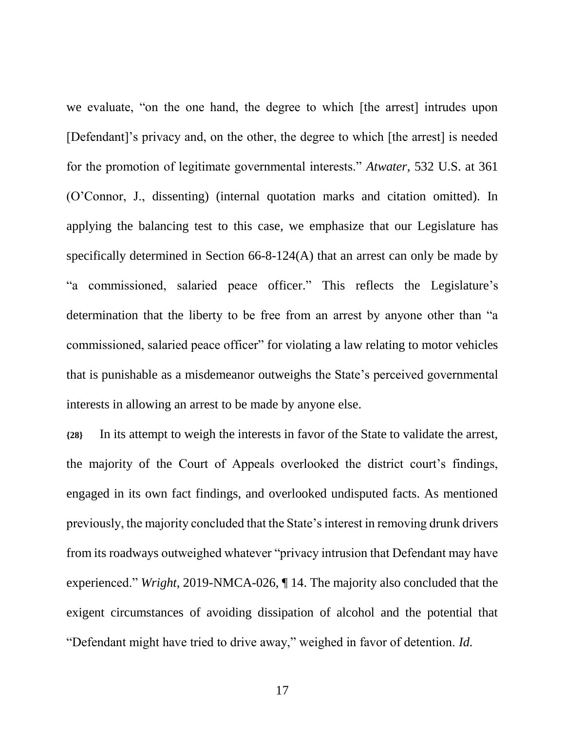we evaluate, "on the one hand, the degree to which [the arrest] intrudes upon [Defendant]'s privacy and, on the other, the degree to which [the arrest] is needed for the promotion of legitimate governmental interests." *Atwater*, 532 U.S. at 361 (O'Connor, J., dissenting) (internal quotation marks and citation omitted). In applying the balancing test to this case, we emphasize that our Legislature has specifically determined in Section 66-8-124(A) that an arrest can only be made by "a commissioned, salaried peace officer." This reflects the Legislature's determination that the liberty to be free from an arrest by anyone other than "a commissioned, salaried peace officer" for violating a law relating to motor vehicles that is punishable as a misdemeanor outweighs the State's perceived governmental interests in allowing an arrest to be made by anyone else.

**{28}** In its attempt to weigh the interests in favor of the State to validate the arrest, the majority of the Court of Appeals overlooked the district court's findings, engaged in its own fact findings, and overlooked undisputed facts. As mentioned previously, the majority concluded that the State's interest in removing drunk drivers from its roadways outweighed whatever "privacy intrusion that Defendant may have experienced." *Wright*, 2019-NMCA-026, ¶ 14. The majority also concluded that the exigent circumstances of avoiding dissipation of alcohol and the potential that "Defendant might have tried to drive away," weighed in favor of detention. *Id.*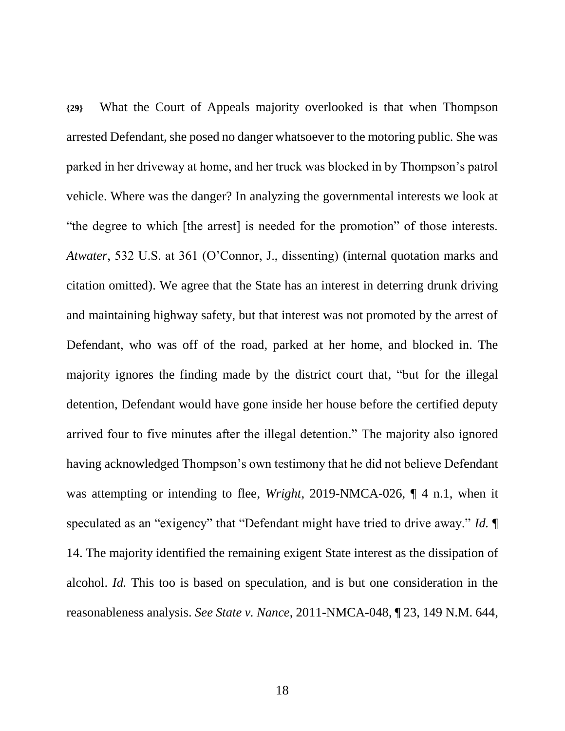**{29}** What the Court of Appeals majority overlooked is that when Thompson arrested Defendant, she posed no danger whatsoever to the motoring public. She was parked in her driveway at home, and her truck was blocked in by Thompson's patrol vehicle. Where was the danger? In analyzing the governmental interests we look at "the degree to which [the arrest] is needed for the promotion" of those interests. *Atwater*, 532 U.S. at 361 (O'Connor, J., dissenting) (internal quotation marks and citation omitted). We agree that the State has an interest in deterring drunk driving and maintaining highway safety, but that interest was not promoted by the arrest of Defendant, who was off of the road, parked at her home, and blocked in. The majority ignores the finding made by the district court that, "but for the illegal detention, Defendant would have gone inside her house before the certified deputy arrived four to five minutes after the illegal detention." The majority also ignored having acknowledged Thompson's own testimony that he did not believe Defendant was attempting or intending to flee, *Wright*, 2019-NMCA-026, ¶ 4 n.1, when it speculated as an "exigency" that "Defendant might have tried to drive away." *Id.* ¶ 14. The majority identified the remaining exigent State interest as the dissipation of alcohol. *Id.* This too is based on speculation, and is but one consideration in the reasonableness analysis. *See State v. Nance*, 2011-NMCA-048, ¶ 23, 149 N.M. 644,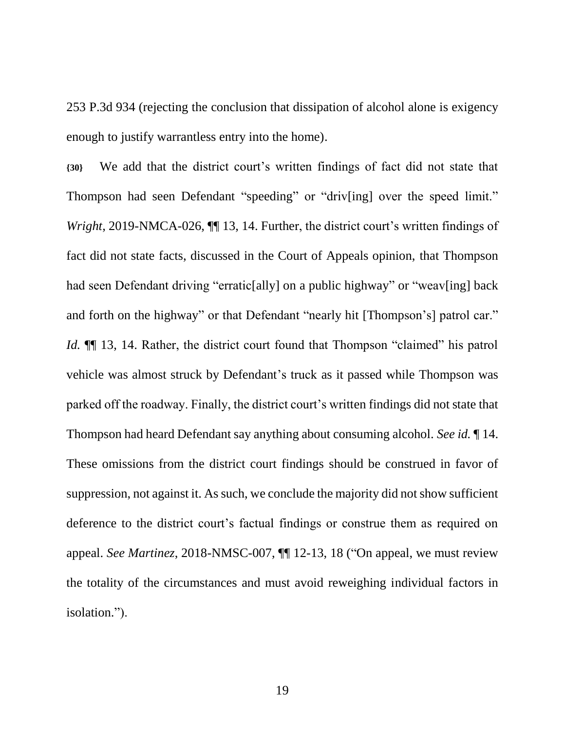253 P.3d 934 (rejecting the conclusion that dissipation of alcohol alone is exigency enough to justify warrantless entry into the home).

**{30}** We add that the district court's written findings of fact did not state that Thompson had seen Defendant "speeding" or "driv[ing] over the speed limit." *Wright*, 2019-NMCA-026,  $\P$  13, 14. Further, the district court's written findings of fact did not state facts, discussed in the Court of Appeals opinion, that Thompson had seen Defendant driving "erratic[ally] on a public highway" or "weav[ing] back and forth on the highway" or that Defendant "nearly hit [Thompson's] patrol car." *Id.* **[16** 13, 14. Rather, the district court found that Thompson "claimed" his patrol vehicle was almost struck by Defendant's truck as it passed while Thompson was parked off the roadway. Finally, the district court's written findings did not state that Thompson had heard Defendant say anything about consuming alcohol. *See id.* ¶ 14. These omissions from the district court findings should be construed in favor of suppression, not against it. As such, we conclude the majority did not show sufficient deference to the district court's factual findings or construe them as required on appeal. *See Martinez*, 2018-NMSC-007, ¶¶ 12-13, 18 ("On appeal, we must review the totality of the circumstances and must avoid reweighing individual factors in isolation.").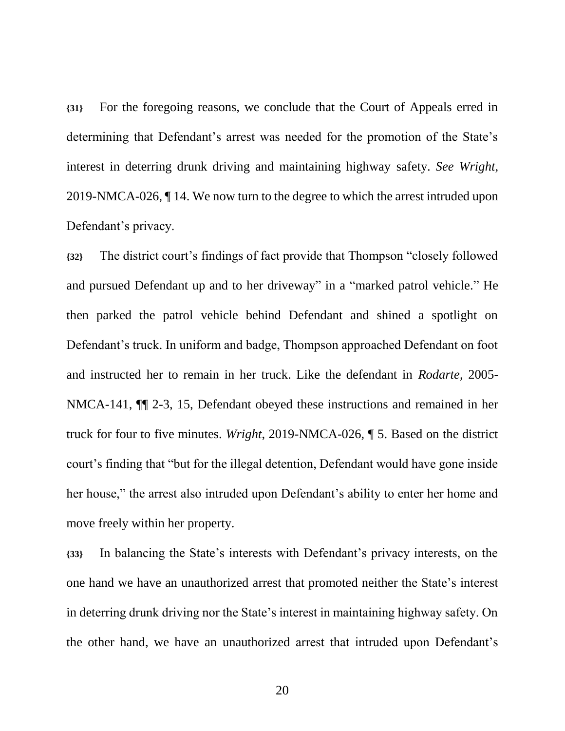**{31}** For the foregoing reasons, we conclude that the Court of Appeals erred in determining that Defendant's arrest was needed for the promotion of the State's interest in deterring drunk driving and maintaining highway safety. *See Wright*, 2019-NMCA-026, ¶ 14. We now turn to the degree to which the arrest intruded upon Defendant's privacy.

**{32}** The district court's findings of fact provide that Thompson "closely followed and pursued Defendant up and to her driveway" in a "marked patrol vehicle." He then parked the patrol vehicle behind Defendant and shined a spotlight on Defendant's truck. In uniform and badge, Thompson approached Defendant on foot and instructed her to remain in her truck. Like the defendant in *Rodarte*, 2005- NMCA-141, ¶¶ 2-3, 15, Defendant obeyed these instructions and remained in her truck for four to five minutes. *Wright*, 2019-NMCA-026, ¶ 5. Based on the district court's finding that "but for the illegal detention, Defendant would have gone inside her house," the arrest also intruded upon Defendant's ability to enter her home and move freely within her property.

**{33}** In balancing the State's interests with Defendant's privacy interests, on the one hand we have an unauthorized arrest that promoted neither the State's interest in deterring drunk driving nor the State's interest in maintaining highway safety. On the other hand, we have an unauthorized arrest that intruded upon Defendant's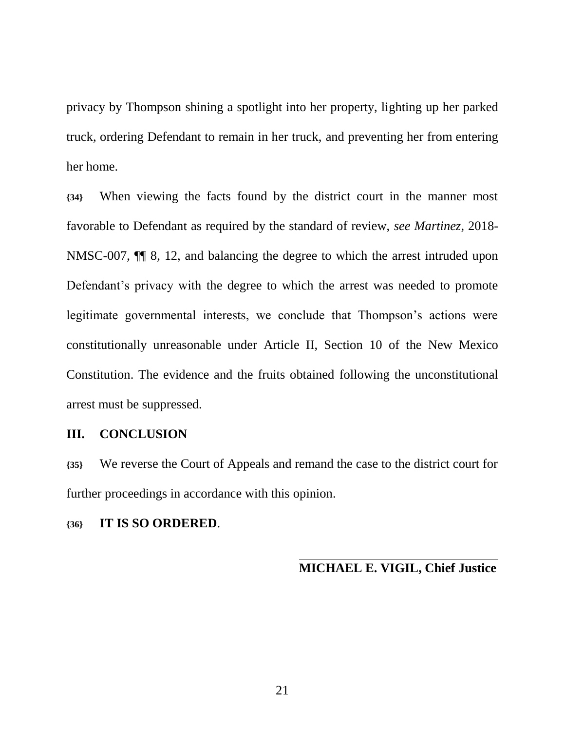privacy by Thompson shining a spotlight into her property, lighting up her parked truck, ordering Defendant to remain in her truck, and preventing her from entering her home.

**{34}** When viewing the facts found by the district court in the manner most favorable to Defendant as required by the standard of review, *see Martinez*, 2018- NMSC-007, ¶¶ 8, 12, and balancing the degree to which the arrest intruded upon Defendant's privacy with the degree to which the arrest was needed to promote legitimate governmental interests, we conclude that Thompson's actions were constitutionally unreasonable under Article II, Section 10 of the New Mexico Constitution. The evidence and the fruits obtained following the unconstitutional arrest must be suppressed.

### **III. CONCLUSION**

**{35}** We reverse the Court of Appeals and remand the case to the district court for further proceedings in accordance with this opinion.

### **{36} IT IS SO ORDERED**.

**MICHAEL E. VIGIL, Chief Justice**